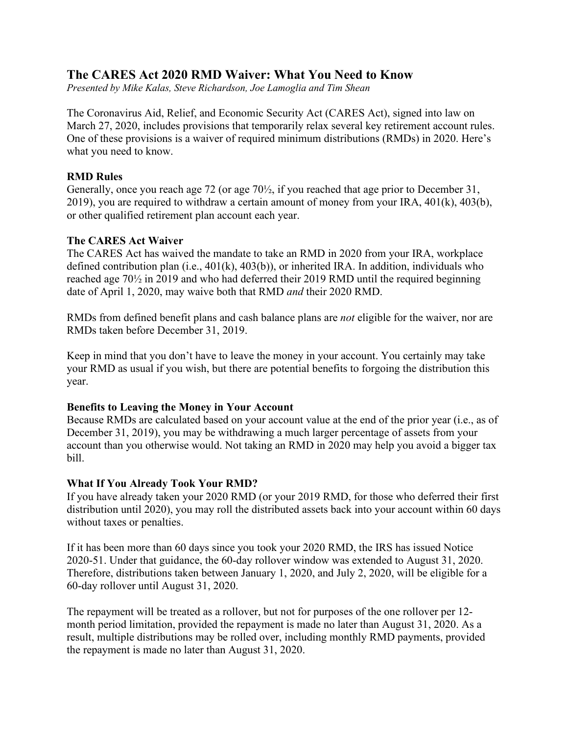# **The CARES Act 2020 RMD Waiver: What You Need to Know**

*Presented by Mike Kalas, Steve Richardson, Joe Lamoglia and Tim Shean*

The Coronavirus Aid, Relief, and Economic Security Act (CARES Act), signed into law on March 27, 2020, includes provisions that temporarily relax several key retirement account rules. One of these provisions is a waiver of required minimum distributions (RMDs) in 2020. Here's what you need to know.

## **RMD Rules**

Generally, once you reach age 72 (or age 70½, if you reached that age prior to December 31, 2019), you are required to withdraw a certain amount of money from your IRA,  $401(k)$ ,  $403(b)$ , or other qualified retirement plan account each year.

## **The CARES Act Waiver**

The CARES Act has waived the mandate to take an RMD in 2020 from your IRA, workplace defined contribution plan (i.e., 401(k), 403(b)), or inherited IRA. In addition, individuals who reached age 70½ in 2019 and who had deferred their 2019 RMD until the required beginning date of April 1, 2020, may waive both that RMD *and* their 2020 RMD.

RMDs from defined benefit plans and cash balance plans are *not* eligible for the waiver, nor are RMDs taken before December 31, 2019.

Keep in mind that you don't have to leave the money in your account. You certainly may take your RMD as usual if you wish, but there are potential benefits to forgoing the distribution this year.

### **Benefits to Leaving the Money in Your Account**

Because RMDs are calculated based on your account value at the end of the prior year (i.e., as of December 31, 2019), you may be withdrawing a much larger percentage of assets from your account than you otherwise would. Not taking an RMD in 2020 may help you avoid a bigger tax bill.

## **What If You Already Took Your RMD?**

If you have already taken your 2020 RMD (or your 2019 RMD, for those who deferred their first distribution until 2020), you may roll the distributed assets back into your account within 60 days without taxes or penalties.

If it has been more than 60 days since you took your 2020 RMD, the IRS has issued Notice 2020-51. Under that guidance, the 60-day rollover window was extended to August 31, 2020. Therefore, distributions taken between January 1, 2020, and July 2, 2020, will be eligible for a 60-day rollover until August 31, 2020.

The repayment will be treated as a rollover, but not for purposes of the one rollover per 12 month period limitation, provided the repayment is made no later than August 31, 2020. As a result, multiple distributions may be rolled over, including monthly RMD payments, provided the repayment is made no later than August 31, 2020.